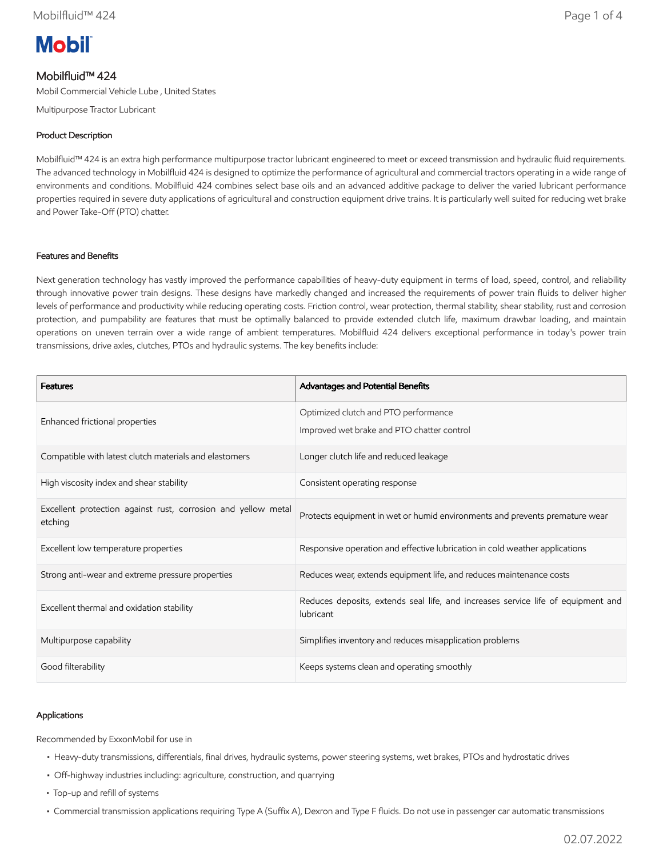# **Mobil**

## Mobilfluid™ 424

Mobil Commercial Vehicle Lube , United States

Multipurpose Tractor Lubricant

## Product Description

Mobilfluid™ 424 is an extra high performance multipurpose tractor lubricant engineered to meet or exceed transmission and hydraulic fluid requirements. The advanced technology in Mobilfluid 424 is designed to optimize the performance of agricultural and commercial tractors operating in a wide range of environments and conditions. Mobilfluid 424 combines select base oils and an advanced additive package to deliver the varied lubricant performance properties required in severe duty applications of agricultural and construction equipment drive trains. It is particularly well suited for reducing wet brake and Power Take-Off (PTO) chatter.

## Features and Benefits

Next generation technology has vastly improved the performance capabilities of heavy-duty equipment in terms of load, speed, control, and reliability through innovative power train designs. These designs have markedly changed and increased the requirements of power train fluids to deliver higher levels of performance and productivity while reducing operating costs. Friction control, wear protection, thermal stability, shear stability, rust and corrosion protection, and pumpability are features that must be optimally balanced to provide extended clutch life, maximum drawbar loading, and maintain operations on uneven terrain over a wide range of ambient temperatures. Mobilfluid 424 delivers exceptional performance in today's power train transmissions, drive axles, clutches, PTOs and hydraulic systems. The key benefits include:

| <b>Features</b>                                                          | Advantages and Potential Benefits                                                             |  |
|--------------------------------------------------------------------------|-----------------------------------------------------------------------------------------------|--|
| Enhanced frictional properties                                           | Optimized clutch and PTO performance<br>Improved wet brake and PTO chatter control            |  |
| Compatible with latest clutch materials and elastomers                   | Longer clutch life and reduced leakage                                                        |  |
| High viscosity index and shear stability                                 | Consistent operating response                                                                 |  |
| Excellent protection against rust, corrosion and yellow metal<br>etching | Protects equipment in wet or humid environments and prevents premature wear                   |  |
| Excellent low temperature properties                                     | Responsive operation and effective lubrication in cold weather applications                   |  |
| Strong anti-wear and extreme pressure properties                         | Reduces wear, extends equipment life, and reduces maintenance costs                           |  |
| Excellent thermal and oxidation stability                                | Reduces deposits, extends seal life, and increases service life of equipment and<br>lubricant |  |
| Multipurpose capability                                                  | Simplifies inventory and reduces misapplication problems                                      |  |
| Good filterability                                                       | Keeps systems clean and operating smoothly                                                    |  |

## Applications

Recommended by ExxonMobil for use in

- Heavy-duty transmissions, differentials, final drives, hydraulic systems, power steering systems, wet brakes, PTOs and hydrostatic drives
- Off-highway industries including: agriculture, construction, and quarrying
- Top-up and refill of systems
- Commercial transmission applications requiring Type A (Suffix A), Dexron and Type F fluids. Do not use in passenger car automatic transmissions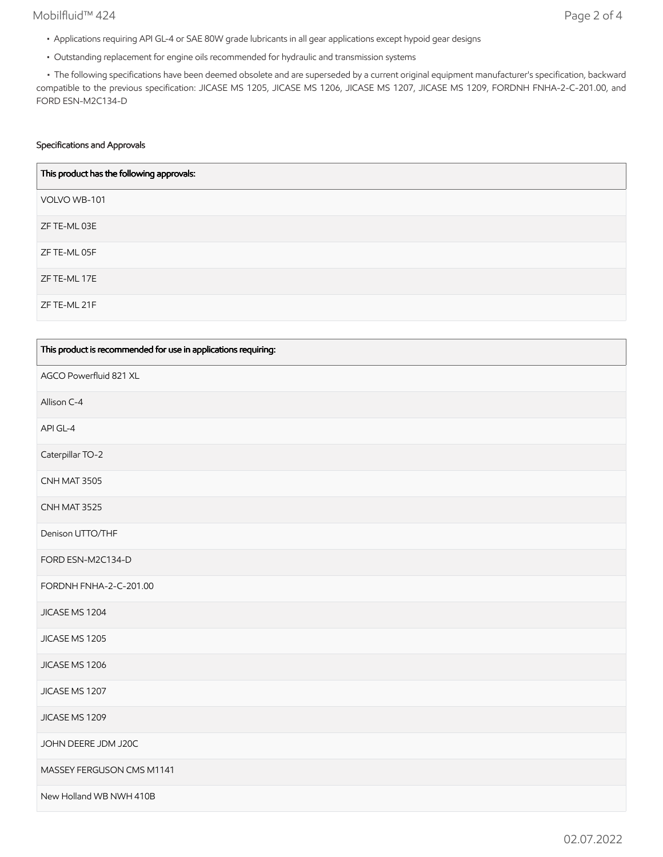### Mobilfluid™ 424 Page 2 of 4

- Applications requiring API GL-4 or SAE 80W grade lubricants in all gear applications except hypoid gear designs
- Outstanding replacement for engine oils recommended for hydraulic and transmission systems

 • The following specifications have been deemed obsolete and are superseded by a current original equipment manufacturer's specification, backward compatible to the previous specification: JICASE MS 1205, JICASE MS 1206, JICASE MS 1207, JICASE MS 1209, FORDNH FNHA-2-C-201.00, and FORD ESN-M2C134-D

#### Specifications and Approvals

| This product has the following approvals: |
|-------------------------------------------|
| VOLVO WB-101                              |
| ZF TE-ML 03E                              |
| ZF TE-ML 05F                              |
| ZF TE-ML 17E                              |
| ZF TE-ML 21F                              |

| This product is recommended for use in applications requiring: |
|----------------------------------------------------------------|
| AGCO Powerfluid 821 XL                                         |
| Allison C-4                                                    |
| API GL-4                                                       |
| Caterpillar TO-2                                               |
| CNH MAT 3505                                                   |
| CNH MAT 3525                                                   |
| Denison UTTO/THF                                               |
| FORD ESN-M2C134-D                                              |
| FORDNH FNHA-2-C-201.00                                         |
| JICASE MS 1204                                                 |
| JICASE MS 1205                                                 |
| JICASE MS 1206                                                 |
| JICASE MS 1207                                                 |
| JICASE MS 1209                                                 |
| JOHN DEERE JDM J20C                                            |
| MASSEY FERGUSON CMS M1141                                      |
| New Holland WB NWH 410B                                        |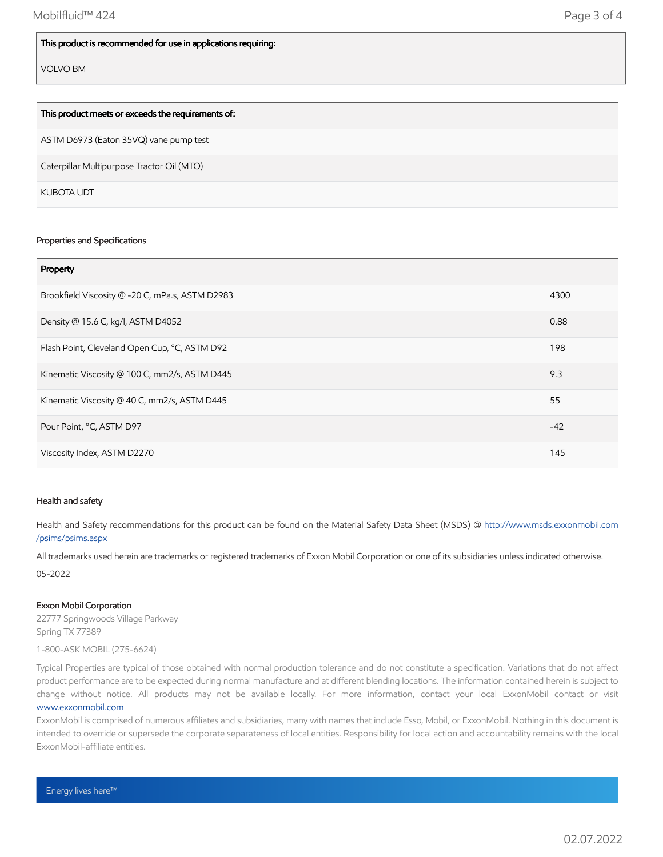#### This product is recommended for use in applications requiring:

VOLVO BM

| This product meets or exceeds the requirements of: |
|----------------------------------------------------|
| ASTM D6973 (Eaton 35VQ) vane pump test             |
| Caterpillar Multipurpose Tractor Oil (MTO)         |
| KUBOTA UDT                                         |

#### Properties and Specifications

| Property                                        |       |
|-------------------------------------------------|-------|
| Brookfield Viscosity @ -20 C, mPa.s, ASTM D2983 | 4300  |
| Density @ 15.6 C, kg/l, ASTM D4052              | 0.88  |
| Flash Point, Cleveland Open Cup, °C, ASTM D92   | 198   |
| Kinematic Viscosity @ 100 C, mm2/s, ASTM D445   | 9.3   |
| Kinematic Viscosity @ 40 C, mm2/s, ASTM D445    | 55    |
| Pour Point, °C, ASTM D97                        | $-42$ |
| Viscosity Index, ASTM D2270                     | 145   |

#### Health and safety

Health and Safety recommendations for this product can be found on the Material Safety Data Sheet (MSDS) @ [http://www.msds.exxonmobil.com](http://www.msds.exxonmobil.com/psims/psims.aspx) /psims/psims.aspx

All trademarks used herein are trademarks or registered trademarks of Exxon Mobil Corporation or one of its subsidiaries unless indicated otherwise.

05-2022

#### Exxon Mobil Corporation

22777 Springwoods Village Parkway Spring TX 77389

1-800-ASK MOBIL (275-6624)

Typical Properties are typical of those obtained with normal production tolerance and do not constitute a specification. Variations that do not affect product performance are to be expected during normal manufacture and at different blending locations. The information contained herein is subject to change without notice. All products may not be available locally. For more information, contact your local ExxonMobil contact or visit [www.exxonmobil.com](http://www.exxonmobil.com/)

ExxonMobil is comprised of numerous affiliates and subsidiaries, many with names that include Esso, Mobil, or ExxonMobil. Nothing in this document is intended to override or supersede the corporate separateness of local entities. Responsibility for local action and accountability remains with the local ExxonMobil-affiliate entities.